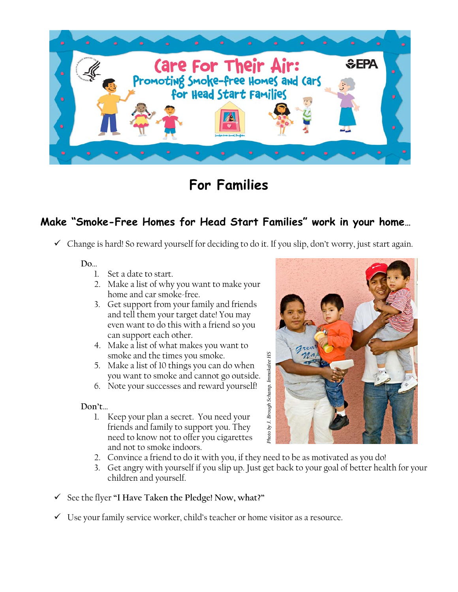

**For Families** 

## **Make "Smoke-Free Homes for Head Start Families" work in your home…**

 $\checkmark$  Change is hard! So reward yourself for deciding to do it. If you slip, don't worry, just start again.

## **Do**…

- 1. Set a date to start.
- 2. Make a list of why you want to make your home and car smoke-free.
- 3. Get support from your family and friends and tell them your target date! You may even want to do this with a friend so you can support each other.
- 4. Make a list of what makes you want to smoke and the times you smoke.
- 5. Make a list of 10 things you can do when you want to smoke and cannot go outside.
- 6. Note your successes and reward yourself!

## **Don't**…

1. Keep your plan a secret. You need your friends and family to support you. They need to know not to offer you cigarettes and not to smoke indoors.



- 2. Convince a friend to do it with you, if they need to be as motivated as you do!
- 3. Get angry with yourself if you slip up. Just get back to your goal of better health for your children and yourself.
- 9 See the flyer **"I Have Taken the Pledge! Now, what?"**
- $\checkmark$  Use your family service worker, child's teacher or home visitor as a resource.